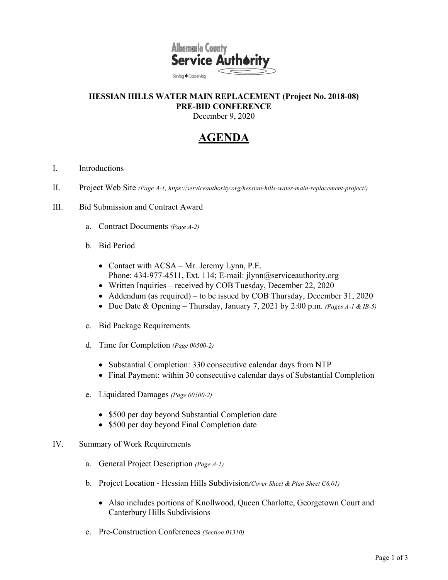

## **HESSIAN HILLS WATER MAIN REPLACEMENT (Project No. 2018-08) PRE-BID CONFERENCE**  December 9, 2020

## **AGENDA**

- I. Introductions
- II. Project Web Site *(Page A-1, https://serviceauthority.org/hessian-hills-water-main-replacement-project/)*
- III. Bid Submission and Contract Award
	- a. Contract Documents *(Page A-2)*
	- b. Bid Period
		- Contact with ACSA Mr. Jeremy Lynn, P.E. Phone: 434-977-4511, Ext. 114; E-mail: jlynn@serviceauthority.org
		- Written Inquiries received by COB Tuesday, December 22, 2020
		- Addendum (as required) to be issued by COB Thursday, December 31, 2020
		- Due Date & Opening Thursday, January 7, 2021 by 2:00 p.m. *(Pages A-1 & IB-5)*
	- c. Bid Package Requirements
	- d. Time for Completion *(Page 00500-2)*
		- Substantial Completion: 330 consecutive calendar days from NTP
		- Final Payment: within 30 consecutive calendar days of Substantial Completion
	- e. Liquidated Damages *(Page 00500-2)*
		- \$500 per day beyond Substantial Completion date
		- \$500 per day beyond Final Completion date
- IV. Summary of Work Requirements
	- a. General Project Description *(Page A-1)*
	- b. Project Location Hessian Hills Subdivision*(Cover Sheet & Plan Sheet C6.01)*
		- Also includes portions of Knollwood, Queen Charlotte, Georgetown Court and Canterbury Hills Subdivisions
	- c. Pre-Construction Conferences *(Section 01310)*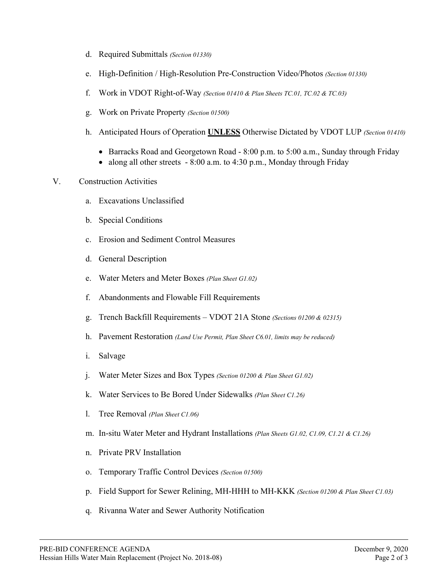- d. Required Submittals *(Section 01330)*
- e. High-Definition / High-Resolution Pre-Construction Video/Photos *(Section 01330)*
- f. Work in VDOT Right-of-Way *(Section 01410 & Plan Sheets TC.01, TC.02 & TC.03)*
- g. Work on Private Property *(Section 01500)*
- h. Anticipated Hours of Operation **UNLESS** Otherwise Dictated by VDOT LUP *(Section 01410)*
	- Barracks Road and Georgetown Road 8:00 p.m. to 5:00 a.m., Sunday through Friday
	- along all other streets  $-8:00$  a.m. to  $4:30$  p.m., Monday through Friday

## V. Construction Activities

- a. Excavations Unclassified
- b. Special Conditions
- c. Erosion and Sediment Control Measures
- d. General Description
- e. Water Meters and Meter Boxes *(Plan Sheet G1.02)*
- f. Abandonments and Flowable Fill Requirements
- g. Trench Backfill Requirements VDOT 21A Stone *(Sections 01200 & 02315)*
- h. Pavement Restoration *(Land Use Permit, Plan Sheet C6.01, limits may be reduced)*
- i. Salvage
- j. Water Meter Sizes and Box Types *(Section 01200 & Plan Sheet G1.02)*
- k. Water Services to Be Bored Under Sidewalks *(Plan Sheet C1.26)*
- l. Tree Removal *(Plan Sheet C1.06)*
- m. In-situ Water Meter and Hydrant Installations *(Plan Sheets G1.02, C1.09, C1.21 & C1.26)*
- n. Private PRV Installation
- o. Temporary Traffic Control Devices *(Section 01500)*
- p. Field Support for Sewer Relining, MH-HHH to MH-KKK *(Section 01200 & Plan Sheet C1.03)*
- q. Rivanna Water and Sewer Authority Notification